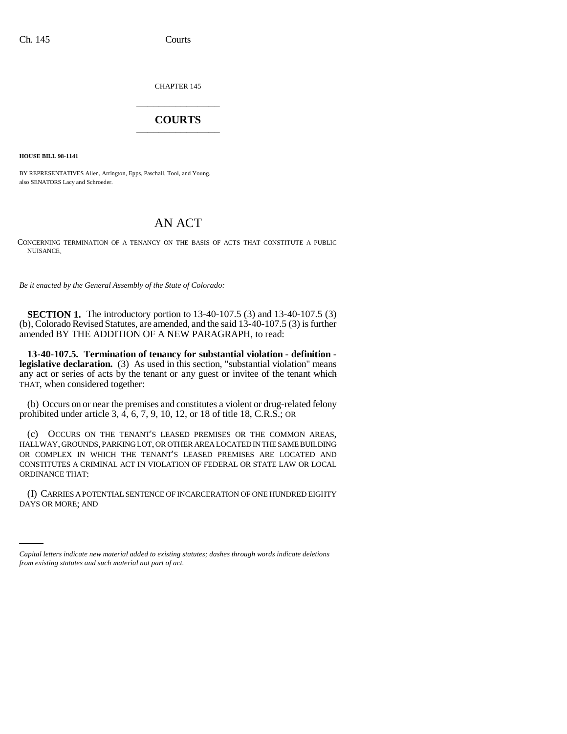CHAPTER 145 \_\_\_\_\_\_\_\_\_\_\_\_\_\_\_

## **COURTS** \_\_\_\_\_\_\_\_\_\_\_\_\_\_\_

**HOUSE BILL 98-1141**

BY REPRESENTATIVES Allen, Arrington, Epps, Paschall, Tool, and Young. also SENATORS Lacy and Schroeder.

## AN ACT

CONCERNING TERMINATION OF A TENANCY ON THE BASIS OF ACTS THAT CONSTITUTE A PUBLIC NUISANCE.

*Be it enacted by the General Assembly of the State of Colorado:*

**SECTION 1.** The introductory portion to 13-40-107.5 (3) and 13-40-107.5 (3) (b), Colorado Revised Statutes, are amended, and the said 13-40-107.5 (3) is further amended BY THE ADDITION OF A NEW PARAGRAPH, to read:

**13-40-107.5. Termination of tenancy for substantial violation - definition legislative declaration.** (3) As used in this section, "substantial violation" means any act or series of acts by the tenant or any guest or invitee of the tenant which THAT, when considered together:

(b) Occurs on or near the premises and constitutes a violent or drug-related felony prohibited under article 3, 4, 6, 7, 9, 10, 12, or 18 of title 18, C.R.S.; OR

(c) OCCURS ON THE TENANT'S LEASED PREMISES OR THE COMMON AREAS, HALLWAY, GROUNDS, PARKING LOT, OR OTHER AREA LOCATED IN THE SAME BUILDING OR COMPLEX IN WHICH THE TENANT'S LEASED PREMISES ARE LOCATED AND CONSTITUTES A CRIMINAL ACT IN VIOLATION OF FEDERAL OR STATE LAW OR LOCAL ORDINANCE THAT:

(I) CARRIES A POTENTIAL SENTENCE OF INCARCERATION OF ONE HUNDRED EIGHTY DAYS OR MORE; AND

*Capital letters indicate new material added to existing statutes; dashes through words indicate deletions from existing statutes and such material not part of act.*